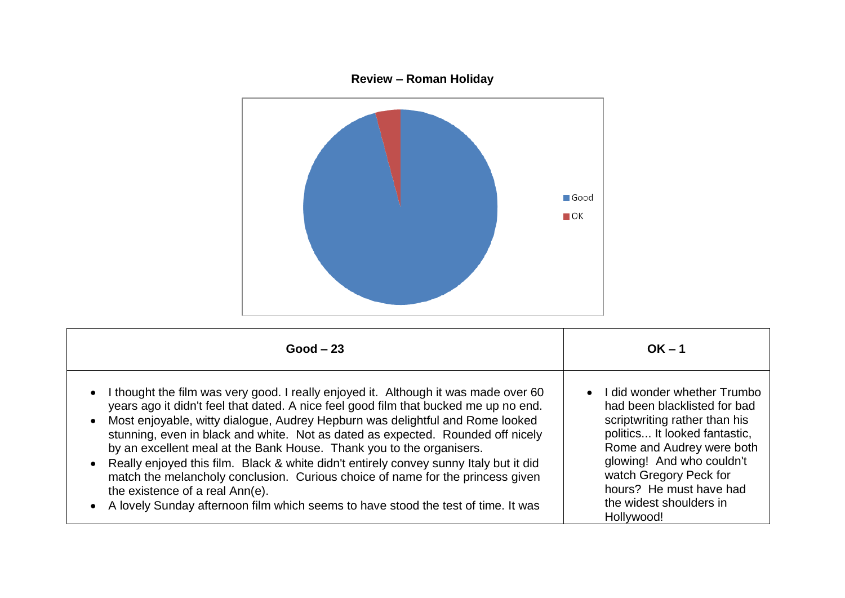

| $Good - 23$                                                                                                                                                                                                                                                                                                                                                                                                                                                                                                                                                                                                                                                                                                                                          | $OK - 1$                                                                                                                                                                                                                                                                                |
|------------------------------------------------------------------------------------------------------------------------------------------------------------------------------------------------------------------------------------------------------------------------------------------------------------------------------------------------------------------------------------------------------------------------------------------------------------------------------------------------------------------------------------------------------------------------------------------------------------------------------------------------------------------------------------------------------------------------------------------------------|-----------------------------------------------------------------------------------------------------------------------------------------------------------------------------------------------------------------------------------------------------------------------------------------|
| I thought the film was very good. I really enjoyed it. Although it was made over 60<br>$\bullet$<br>years ago it didn't feel that dated. A nice feel good film that bucked me up no end.<br>Most enjoyable, witty dialogue, Audrey Hepburn was delightful and Rome looked<br>stunning, even in black and white. Not as dated as expected. Rounded off nicely<br>by an excellent meal at the Bank House. Thank you to the organisers.<br>Really enjoyed this film. Black & white didn't entirely convey sunny Italy but it did<br>match the melancholy conclusion. Curious choice of name for the princess given<br>the existence of a real Ann(e).<br>A lovely Sunday afternoon film which seems to have stood the test of time. It was<br>$\bullet$ | • I did wonder whether Trumbo<br>had been blacklisted for bad<br>scriptwriting rather than his<br>politics It looked fantastic,<br>Rome and Audrey were both<br>glowing! And who couldn't<br>watch Gregory Peck for<br>hours? He must have had<br>the widest shoulders in<br>Hollywood! |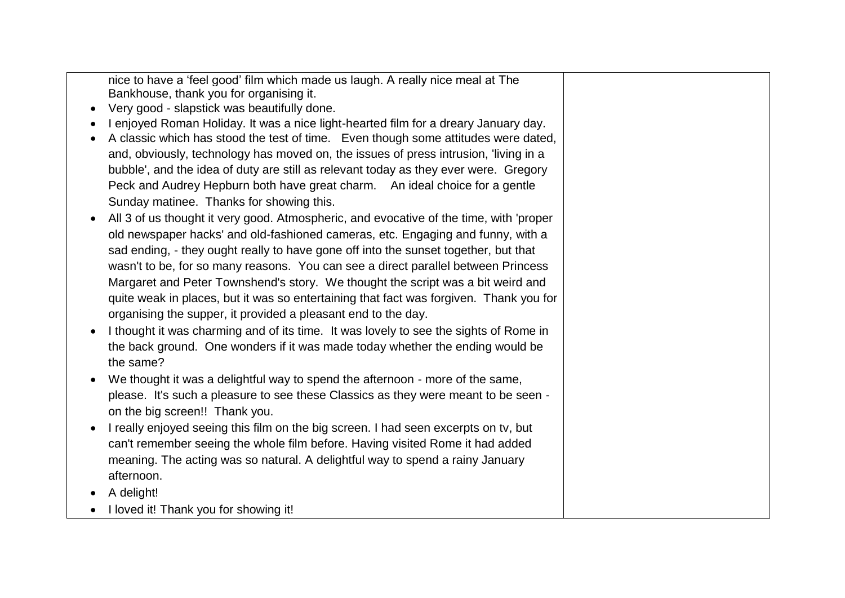nice to have a 'feel good' film which made us laugh. A really nice meal at The Bankhouse, thank you for organising it.

- Very good slapstick was beautifully done.
- I enjoyed Roman Holiday. It was a nice light-hearted film for a dreary January day.
- A classic which has stood the test of time. Even though some attitudes were dated, and, obviously, technology has moved on, the issues of press intrusion, 'living in a bubble', and the idea of duty are still as relevant today as they ever were. Gregory Peck and Audrey Hepburn both have great charm. An ideal choice for a gentle Sunday matinee. Thanks for showing this.
- All 3 of us thought it very good. Atmospheric, and evocative of the time, with 'proper old newspaper hacks' and old-fashioned cameras, etc. Engaging and funny, with a sad ending, - they ought really to have gone off into the sunset together, but that wasn't to be, for so many reasons. You can see a direct parallel between Princess Margaret and Peter Townshend's story. We thought the script was a bit weird and quite weak in places, but it was so entertaining that fact was forgiven. Thank you for organising the supper, it provided a pleasant end to the day.
- I thought it was charming and of its time. It was lovely to see the sights of Rome in the back ground. One wonders if it was made today whether the ending would be the same?
- We thought it was a delightful way to spend the afternoon more of the same, please. It's such a pleasure to see these Classics as they were meant to be seen on the big screen!! Thank you.
- I really enjoyed seeing this film on the big screen. I had seen excerpts on ty, but can't remember seeing the whole film before. Having visited Rome it had added meaning. The acting was so natural. A delightful way to spend a rainy January afternoon.
- A delight!
- I loved it! Thank you for showing it!